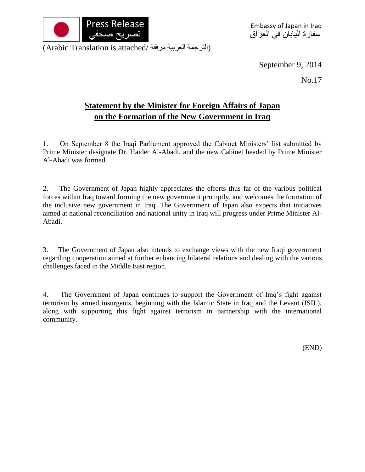

(الترجمة العربية مرفقة /Arabic Translation is attached)

September 9, 2014

No.17

## **Statement by the Minister for Foreign Affairs of Japan on the Formation of the New Government in Iraq**

1. On September 8 the Iraqi Parliament approved the Cabinet Ministers' list submitted by Prime Minister designate Dr. Haider Al-Abadi, and the new Cabinet headed by Prime Minister Al-Abadi was formed.

2. The Government of Japan highly appreciates the efforts thus far of the various political forces within Iraq toward forming the new government promptly, and welcomes the formation of the inclusive new government in Iraq. The Government of Japan also expects that initiatives aimed at national reconciliation and national unity in Iraq will progress under Prime Minister Al-Abadi.

3. The Government of Japan also intends to exchange views with the new Iraqi government regarding cooperation aimed at further enhancing bilateral relations and dealing with the various challenges faced in the Middle East region.

4. The Government of Japan continues to support the Government of Iraq's fight against terrorism by armed insurgents, beginning with the Islamic State in Iraq and the Levant (ISIL), along with supporting this fight against terrorism in partnership with the international community.

(END)